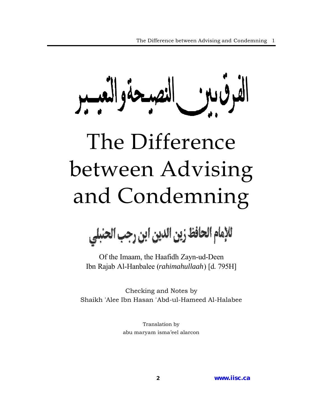سحةوالعد

# The Difference between Advising and Condemning

للإمام الحافظ زين الدين ابن رجب الحنبلي

Of the Imaam, the Haafidh Zayn-ud-Deen Ibn Rajab Al-Hanbalee (*rahimahullaah*) [d. 795H]

Checking and Notes by Shaikh 'Alee Ibn Hasan 'Abd-ul-Hameed Al-Halabee

> Translation by abu maryam isma'eel alarcon

> > **2 [www.iisc.ca](http://www.iisc.ca)**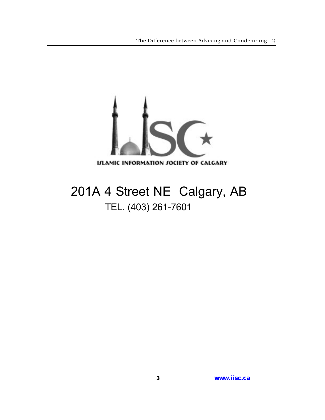

## 201A 4 Street NE Calgary, AB TEL. (403) 261-7601

**3 [www.iisc.ca](http://www.iisc.ca)**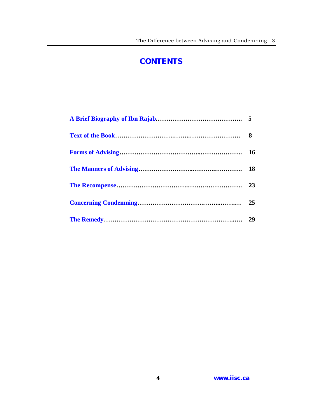#### **CONTENTS**

<span id="page-2-0"></span>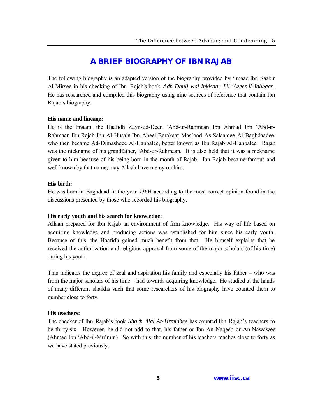#### **[A BRIEF BIOGRAPHY OF IBN RAJAB](#page-2-0)**

<span id="page-3-0"></span>The following biography is an adapted version of the biography provided by 'Imaad Ibn Saabir Al-Mirsee in his checking of Ibn Rajab's book *Adh-Dhull wal-Inkisaar Lil-'Azeez-il-Jabbaar*. He has researched and compiled this biography using nine sources of reference that contain Ibn Rajab's biography.

#### **His name and lineage:**

He is the Imaam, the Haafidh Zayn-ud-Deen 'Abd-ur-Rahmaan Ibn Ahmad Ibn 'Abd-ir-Rahmaan Ibn Rajab Ibn Al-Husain Ibn Abeel-Barakaat Mas'ood As-Salaamee Al-Baghdaadee, who then became Ad-Dimashqee Al-Hanbalee, better known as Ibn Rajab Al-Hanbalee. Rajab was the nickname of his grandfather, 'Abd-ur-Rahmaan. It is also held that it was a nickname given to him because of his being born in the month of Rajab. Ibn Rajab became famous and well known by that name, may Allaah have mercy on him.

#### **His birth:**

He was born in Baghdaad in the year 736H according to the most correct opinion found in the discussions presented by those who recorded his biography.

#### **His early youth and his search for knowledge:**

Allaah prepared for Ibn Rajab an environment of firm knowledge. His way of life based on acquiring knowledge and producing actions was established for him since his early youth. Because of this, the Haafidh gained much benefit from that. He himself explains that he received the authorization and religious approval from some of the major scholars (of his time) during his youth.

This indicates the degree of zeal and aspiration his family and especially his father – who was from the major scholars of his time – had towards acquiring knowledge. He studied at the hands of many different shaikhs such that some researchers of his biography have counted them to number close to forty.

#### **His teachers:**

The checker of Ibn Rajab's book *Sharh 'Ilal At-Tirmidhee* has counted Ibn Rajab's teachers to be thirty-six. However, he did not add to that, his father or Ibn An-Naqeeb or An-Nawawee (Ahmad Ibn 'Abd-il-Mu'min). So with this, the number of his teachers reaches close to forty as we have stated previously.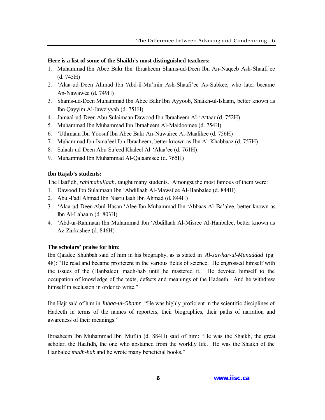#### **Here is a list of some of the Shaikh's most distinguished teachers:**

- 1. Muhammad Ibn Abee Bakr Ibn Ibraaheem Shams-ud-Deen Ibn An-Naqeeb Ash-Shaafi'ee (d. 745H)
- 2. 'Alaa-ud-Deen Ahmad Ibn 'Abd-il-Mu'min Ash-Shaafi'ee As-Subkee, who later became An-Nawawee (d. 749H)
- 3. Shams-ud-Deen Muhammad Ibn Abee Bakr Ibn Ayyoob, Shaikh-ul-Islaam, better known as Ibn Qayyim Al-Jawziyyah (d. 751H)
- 4. Jamaal-ud-Deen Abu Sulaimaan Dawood Ibn Ibraaheem Al-'Attaar (d. 752H)
- 5. Muhammad Ibn Muhammad Ibn Ibraaheem Al-Maidoomee (d. 754H)
- 6. 'Uthmaan Ibn Yoosuf Ibn Abee Bakr An-Nuwairee Al-Maalikee (d. 756H)
- 7. Muhammad Ibn Isma'eel Ibn Ibraaheem, better known as Ibn Al-Khabbaaz (d. 757H)
- 8. Salaah-ud-Deen Abu Sa'eed Khaleel Al-'Alaa'ee (d. 761H)
- 9. Muhammad Ibn Muhammad Al-Qalaanisee (d. 765H)

#### **Ibn Rajab's students:**

The Haafidh, *rahimahullaah*, taught many students. Amongst the most famous of them were:

- 1. Dawood Ibn Sulaimaan Ibn 'Abdillaah Al-Mawsilee Al-Hanbalee (d. 844H)
- 2. Abul-Fadl Ahmad Ibn Nasrullaah Ibn Ahmad (d. 844H)
- 3. 'Alaa-ud-Deen Abul-Hasan 'Alee Ibn Muhammad Ibn 'Abbaas Al-Ba'alee, better known as Ibn Al-Lahaam (d. 803H)
- 4. 'Abd-ur-Rahmaan Ibn Muhammad Ibn 'Abdillaah Al-Misree Al-Hanbalee, better known as Az-Zarkashee (d. 846H)

#### **The scholars' praise for him:**

Ibn Qaadee Shuhbah said of him in his biography, as is stated in *Al-Jawhar-ul-Munaddad* (pg. 48): "He read and became proficient in the various fields of science. He engrossed himself with the issues of the (Hanbalee) madh-hab until he mastered it. He devoted himself to the occupation of knowledge of the texts, defects and meanings of the Hadeeth. And he withdrew himself in seclusion in order to write."

Ibn Hajr said of him in *Inbaa-ul-Ghamr*: "He was highly proficient in the scientific disciplines of Hadeeth in terms of the names of reporters, their biographies, their paths of narration and awareness of their meanings."

Ibraaheem Ibn Muhammad Ibn Muflih (d. 884H) said of him: "He was the Shaikh, the great scholar, the Haafidh, the one who abstained from the worldly life. He was the Shaikh of the Hanbalee *madh-hab* and he wrote many beneficial books."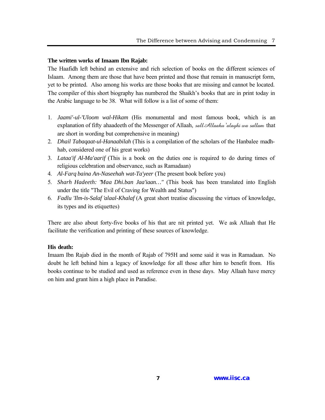#### **The written works of Imaam Ibn Rajab:**

The Haafidh left behind an extensive and rich selection of books on the different sciences of Islaam. Among them are those that have been printed and those that remain in manuscript form, yet to be printed. Also among his works are those books that are missing and cannot be located. The compiler of this short biography has numbered the Shaikh's books that are in print today in the Arabic language to be 38. What will follow is a list of some of them:

- 1. *Jaami'-ul-'Uloom wal-Hikam* (His monumental and most famous book, which is an explanation of fifty ahaadeeth of the Messenger of Allaah, sallAllaahu 'alayhi wa sallam that are short in wording but comprehensive in meaning)
- 2. *Dhail Tabaqaat-ul-Hanaabilah* (This is a compilation of the scholars of the Hanbalee madhhab, considered one of his great works)
- 3. *Lataa'if Al-Ma'aarif* (This is a book on the duties one is required to do during times of religious celebration and observance, such as Ramadaan)
- 4. *Al-Farq baina An-Naseehah wat-Ta'yeer* (The present book before you)
- 5. *Sharh Hadeeth: "Maa Dhi.ban Jaa'iaan…"* (This book has been translated into English under the title "The Evil of Craving for Wealth and Status")
- 6. *Fadlu 'Ilm-is-Salaf 'alaal-Khalaf* (A great short treatise discussing the virtues of knowledge, its types and its etiquettes)

There are also about forty-five books of his that are nit printed yet. We ask Allaah that He facilitate the verification and printing of these sources of knowledge.

#### **His death:**

Imaam Ibn Rajab died in the month of Rajab of 795H and some said it was in Ramadaan. No doubt he left behind him a legacy of knowledge for all those after him to benefit from. His books continue to be studied and used as reference even in these days. May Allaah have mercy on him and grant him a high place in Paradise.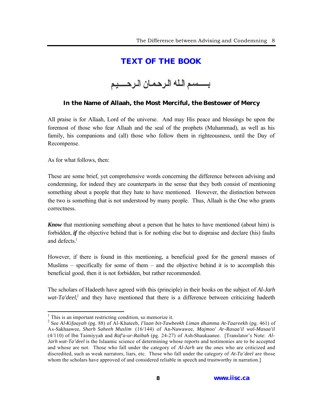#### **[TEXT OF THE BOOK](#page-2-0)**

### بسسم الله الرحمان الرحسيم

#### <span id="page-6-0"></span>**In the Name of Allaah, the Most Merciful, the Bestower of Mercy**

All praise is for Allaah, Lord of the universe. And may His peace and blessings be upon the foremost of those who fear Allaah and the seal of the prophets (Muhammad), as well as his family, his companions and (all) those who follow them in righteousness, until the Day of Recompense.

As for what follows, then:

 $\overline{a}$ 

These are some brief, yet comprehensive words concerning the difference between advising and condemning, for indeed they are counterparts in the sense that they both consist of mentioning something about a people that they hate to have mentioned. However, the distinction between the two is something that is not understood by many people. Thus, Allaah is the One who grants correctness.

*Know* that mentioning something about a person that he hates to have mentioned (about him) is forbidden, *if* the objective behind that is for nothing else but to dispraise and declare (his) faults and defects $<sup>1</sup>$ </sup>

However, if there is found in this mentioning, a beneficial good for the general masses of Muslims – specifically for some of them – and the objective behind it is to accomplish this beneficial good, then it is not forbidden, but rather recommended.

The scholars of Hadeeth have agreed with this (principle) in their books on the subject of *Al-Jarh* wat-Ta'deel<sup>2</sup>, and they have mentioned that there is a difference between criticizing hadeeth

<sup>&</sup>lt;sup>1</sup> This is an important restricting condition, so memorize it.

<sup>2</sup> See *Al-Kifaayah* (pg. 88) of Al-Khateeb, *I'laan bit-Tawbeekh Liman dhamma At-Taareekh* (pg. 461) of As-Sakhaawee, *Sharh Saheeh Muslim* (16/144) of An-Nawawee, *Majmoo' Ar-Rasaa'il wal-Masaa'il* (4/110) of Ibn Taimiyyah and *Raf'a-ur-Raibah* (pg. 24-27) of Ash-Shaukaanee. [Translator's Note: *Al-Jarh wat-Ta'deel* is the Islaamic science of determining whose reports and testimonies are to be accepted and whose are not. Those who fall under the category of *Al-Jarh* are the ones who are criticized and discredited, such as weak narrators, liars, etc. Those who fall under the category of *At-Ta'deel* are those whom the scholars have approved of and considered reliable in speech and trustworthy in narration.]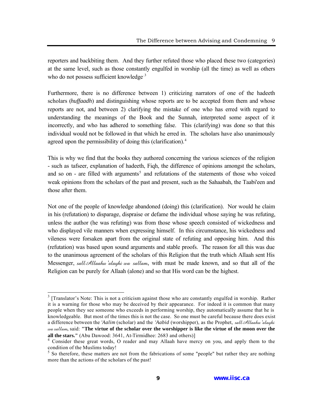reporters and backbiting them. And they further refuted those who placed these two (categories) at the same level, such as those constantly engulfed in worship (all the time) as well as others who do not possess sufficient knowledge<sup>3</sup>

Furthermore, there is no difference between 1) criticizing narrators of one of the hadeeth scholars (*huffaadh*) and distinguishing whose reports are to be accepted from them and whose reports are not, and between 2) clarifying the mistake of one who has erred with regard to understanding the meanings of the Book and the Sunnah, interpreted some aspect of it incorrectly, and who has adhered to something false. This (clarifying) was done so that this individual would not be followed in that which he erred in. The scholars have also unanimously agreed upon the permissibility of doing this (clarification).<sup>4</sup>

This is why we find that the books they authored concerning the various sciences of the religion - such as tafseer, explanation of hadeeth, Fiqh, the difference of opinions amongst the scholars, and so on - are filled with arguments<sup>5</sup> and refutations of the statements of those who voiced weak opinions from the scholars of the past and present, such as the Sahaabah, the Taabi'een and those after them.

Not one of the people of knowledge abandoned (doing) this (clarification). Nor would he claim in his (refutation) to disparage, dispraise or defame the individual whose saying he was refuting, unless the author (he was refuting) was from those whose speech consisted of wickedness and who displayed vile manners when expressing himself. In this circumstance, his wickedness and vileness were forsaken apart from the original state of refuting and opposing him. And this (refutation) was based upon sound arguments and stable proofs. The reason for all this was due to the unanimous agreement of the scholars of this Religion that the truth which Allaah sent His Messenger, sall Allaahu 'alayhi wa sallam, with must be made known, and so that all of the Religion can be purely for Allaah (alone) and so that His word can be the highest.

 $3$  [Translator's Note: This is not a criticism against those who are constantly engulfed in worship. Rather it is a warning for those who may be deceived by their appearance. For indeed it is common that many people when they see someone who exceeds in performing worship, they automatically assume that he is knowledgeable. But most of the times this is not the case. So one must be careful because there does exist a difference between the *'Aalim* (scholar) and the *'Aabid* (worshipper), as the Prophet, sallAllaahu 'alayhi wa sallam, said: **"The virtue of the scholar over the worshipper is like the virtue of the moon over the all the stars."** (Abu Dawood: 3641, At-Tirmidhee: 2683 and others)]

<sup>&</sup>lt;sup>4</sup> Consider these great words, O reader and may Allaah have mercy on you, and apply them to the condition of the Muslims today!

 $<sup>5</sup>$  So therefore, these matters are not from the fabrications of some "people" but rather they are nothing</sup> more than the actions of the scholars of the past!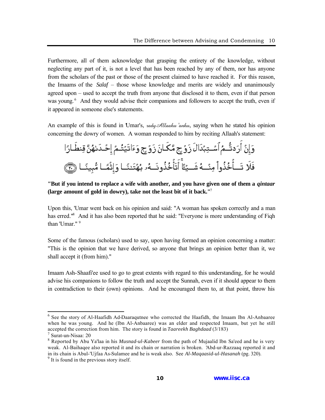Furthermore, all of them acknowledge that grasping the entirety of the knowledge, without neglecting any part of it, is not a level that has been reached by any of them, nor has anyone from the scholars of the past or those of the present claimed to have reached it. For this reason, the Imaams of the *Salaf* – those whose knowledge and merits are widely and unanimously agreed upon – used to accept the truth from anyone that disclosed it to them, even if that person was young.<sup>6</sup> And they would advise their companions and followers to accept the truth, even if it appeared in someone else's statements.

An example of this is found in Umar's, *rady Allaahu 'anhu*, saying when he stated his opinion concerning the dowry of women. A woman responded to him by reciting Allaah's statement:

#### **"But if you intend to replace a wife with another, and you have given one of them a** *qintaar* **(large amount of gold in dowry), take not the least bit of it back."**<sup>7</sup>

Upon this, 'Umar went back on his opinion and said: "A woman has spoken correctly and a man has erred."<sup>8</sup> And it has also been reported that he said: "Everyone is more understanding of Fiqh than 'Umar." 9

Some of the famous (scholars) used to say, upon having formed an opinion concerning a matter: "This is the opinion that we have derived, so anyone that brings an opinion better than it, we shall accept it (from him)."

Imaam Ash-Shaafi'ee used to go to great extents with regard to this understanding, for he would advise his companions to follow the truth and accept the Sunnah, even if it should appear to them in contradiction to their (own) opinions. And he encouraged them to, at that point, throw his

<sup>&</sup>lt;sup>6</sup> See the story of Al-Haafidh Ad-Daaraqutnee who corrected the Haafidh, the Imaam Ibn Al-Anbaaree when he was young. And he (Ibn Al-Anbaaree) was an elder and respected Imaam, but yet he still accepted the correction from him. The story is found in *Taareekh Baghdaad* (3/183)

<sup>7</sup> Surat-un-Nisaa: 20

<sup>8</sup> Reported by Abu Ya'laa in his *Musnad-ul-Kabeer* from the path of Mujaalid Ibn Sa'eed and he is very weak. Al-Baihaqee also reported it and its chain or narration is broken. 'Abd-ur-Razzaaq reported it and in its chain is Abul-'Ujfaa As-Sulamee and he is weak also. See *Al-Maqaasid-ul-Hasanah* (pg. 320). <sup>9</sup> It is found in the previous story itself.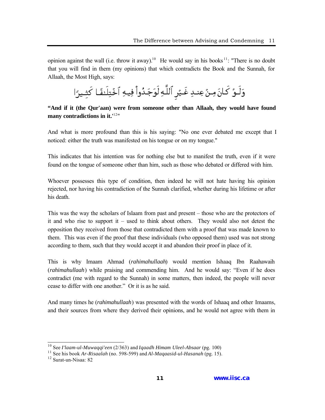opinion against the wall (i.e. throw it away).<sup>10</sup> He would say in his books <sup>11</sup>: "There is no doubt that you will find in them (my opinions) that which contradicts the Book and the Sunnah, for Allaah, the Most High, says:

وَلَـوٌ كَانَ مِـنٌ عِنـدِ غَـيُرِ ٱللَّـهِ لَوَجَـدُواْ فِيـهِ ٱخْتِلَـفًا كَشِيرًا

**"And if it (the Qur'aan) were from someone other than Allaah, they would have found many contradictions in it.'**<sup>12</sup>"

And what is more profound than this is his saying: "No one ever debated me except that I noticed: either the truth was manifested on his tongue or on my tongue."

This indicates that his intention was for nothing else but to manifest the truth, even if it were found on the tongue of someone other than him, such as those who debated or differed with him.

Whoever possesses this type of condition, then indeed he will not hate having his opinion rejected, nor having his contradiction of the Sunnah clarified, whether during his lifetime or after his death.

This was the way the scholars of Islaam from past and present – those who are the protectors of it and who rise to support it – used to think about others. They would also not detest the opposition they received from those that contradicted them with a proof that was made known to them. This was even if the proof that these individuals (who opposed them) used was not strong according to them, such that they would accept it and abandon their proof in place of it.

This is why Imaam Ahmad (*rahimahullaah*) would mention Ishaaq Ibn Raahawaih (*rahimahullaah*) while praising and commending him. And he would say: "Even if he does contradict (me with regard to the Sunnah) in some matters, then indeed, the people will never cease to differ with one another." Or it is as he said.

And many times he (*rahimahullaah*) was presented with the words of Ishaaq and other Imaams, and their sources from where they derived their opinions, and he would not agree with them in

<sup>10</sup> See *I'laam-ul-Muwaqqi'een* (2/363) and *Iqaadh Himam Uleel-Absaar* (pg. 100)

<sup>11</sup> See his book *Ar-Risaalah* (no. 598-599) and *Al-Maqaasid-ul-Hasanah* (pg. 15).

<sup>&</sup>lt;sup>12</sup> Surat-un-Nisaa: 82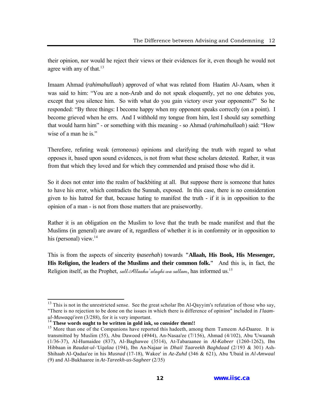their opinion, nor would he reject their views or their evidences for it, even though he would not agree with any of that. $13$ 

Imaam Ahmad (*rahimahullaah*) approved of what was related from Haatim Al-Asam, when it was said to him: "You are a non-Arab and do not speak eloquently, yet no one debates you, except that you silence him. So with what do you gain victory over your opponents?" So he responded: "By three things: I become happy when my opponent speaks correctly (on a point). I become grieved when he errs. And I withhold my tongue from him, lest I should say something that would harm him" - or something with this meaning - so Ahmad (*rahimahullaah*) said: "How wise of a man he is."

Therefore, refuting weak (erroneous) opinions and clarifying the truth with regard to what opposes it, based upon sound evidences, is not from what these scholars detested. Rather, it was from that which they loved and for which they commended and praised those who did it.

So it does not enter into the realm of backbiting at all. But suppose there is someone that hates to have his error, which contradicts the Sunnah, exposed. In this case, there is no consideration given to his hatred for that, because hating to manifest the truth - if it is in opposition to the opinion of a man - is not from those matters that are praiseworthy.

Rather it is an obligation on the Muslim to love that the truth be made manifest and that the Muslims (in general) are aware of it, regardless of whether it is in conformity or in opposition to his (personal) view. $14$ 

This is from the aspects of sincerity (*naseehah*) towards **"Allaah, His Book, His Messenger, His Religion, the leaders of the Muslims and their common folk."** And this is, in fact, the Religion itself, as the Prophet, sall Allaahu 'alayhi wa sallam, has informed us.<sup>15</sup>

 $13$  This is not in the unrestricted sense. See the great scholar Ibn Al-Qayyim's refutation of those who say, "There is no rejection to be done on the issues in which there is difference of opinion" included in *I'laamul-Muwaqqi'een* (3/288), for it is very important.

<sup>&</sup>lt;sup>14</sup> These words ought to be written in gold ink, so consider them!!

<sup>&</sup>lt;sup>15</sup> More than one of the Companions have reported this hadeeth, among them Tameem Ad-Daaree. It is transmitted by Muslim (55), Abu Dawood (4944), An-Nasaa'ee (7/156), Ahmad (4/102), Abu 'Uwaanah (1/36-37), Al-Humaidee (837), Al-Baghawee (3514), At-Tabaraanee in *Al-Kabeer* (1260-1262), Ibn Hibbaan in *Raudat-ul-'Uqalaa* (194), Ibn An-Najaar in *Dhail Taareekh Baghdaad* (2/193 & 301) Ash-Shihaab Al-Qadaa'ee in his *Musnad* (17-18), Wakee' in *Az-Zuhd* (346 & 621), Abu 'Ubaid in *Al-Amwaal* (9) and Al-Bukhaaree in *At-Tareekh-us-Sagheer* (2/35)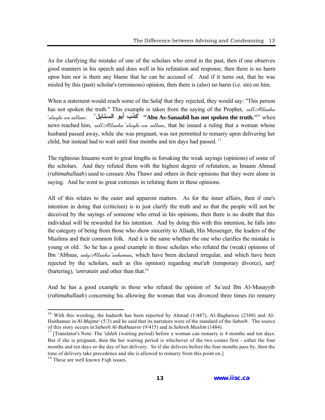As for clarifying the mistake of one of the scholars who erred in the past, then if one observes good manners in his speech and does well in his refutation and response, then there is no harm upon him nor is there any blame that he can be accused of. And if it turns out, that he was misled by this (past) scholar's (erroneous) opinion, then there is (also) no harm (i.e. sin) on him.

When a statement would reach some of the *Salaf* that they rejected, they would say: "This person has not spoken the truth." This example is taken from the saying of the Prophet, sall Allaahu 'alayhi wa sallam: "**'Abu As-Sanaabil has not spoken the truth."**<sup>16</sup> when news reached him, sall Allaahu 'alayhi wa sallam, that he issued a ruling that a woman whose husband passed away, while she was pregnant, was not permitted to remarry upon delivering her child, but instead had to wait until four months and ten days had passed.<sup>17</sup>

The righteous Imaams went to great lengths in forsaking the weak sayings (opinions) of some of the scholars. And they refuted them with the highest degree of refutation, as Imaam Ahmad (*rahimahullaah*) used to censure Abu Thawr and others in their opinions that they were alone in saying. And he went to great extremes in refuting them in these opinions.

All of this relates to the outer and apparent matters. As for the inner affairs, then if one's intention in doing that (criticism) is to just clarify the truth and so that the people will not be deceived by the sayings of someone who erred in his opinions, then there is no doubt that this individual will be rewarded for his intention. And by doing this with this intention, he falls into the category of being from those who show sincerity to Allaah, His Messenger, the leaders of the Muslims and their common folk. And it is the same whether the one who clarifies the mistake is young or old. So he has a good example in those scholars who refuted the (weak) opinions of Ibn 'Abbaas,  $\alpha d\psi$  Allaahu 'anhumaa, which have been declared irregular, and which have been rejected by the scholars, such as (his opinion) regarding *mut'ah* (temporary divorce), *sarf* (bartering), *'umratain* and other than that.<sup>18</sup>

And he has a good example in those who refuted the opinion of Sa'eed Ibn Al-Musayyib (*rahimahullaah*) concerning his allowing the woman that was divorced three times (to remarry

<sup>&</sup>lt;sup>16</sup> With this wording, the hadeeth has been reported by Ahmad (1/447), Al-Baghawee (2388) and Al-Haithamee in *Al-Majma'* (5/3) and he said that its narrators were of the standard of the *Saheeh*. The source of this story occurs in *Saheeh Al-Bukhaaree* (9/415) and in *Saheeh Muslim* (1484).

<sup>&</sup>lt;sup>17</sup> [Translator's Note: The *'iddah* (waiting period) before a woman can remarry is 4 months and ten days. But if she is pregnant, then the her waiting period is whichever of the two comes first - either the four months and ten days or the day of her delivery. So if she delivers before the four months pass by, then the time of delivery take precedence and she is allowed to remarry from this point on.]

<sup>&</sup>lt;sup>18</sup> These are well known Figh issues.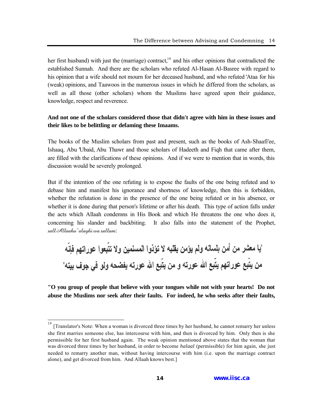her first husband) with just the (marriage) contract,<sup>19</sup> and his other opinions that contradicted the established Sunnah. And there are the scholars who refuted Al-Hasan Al-Basree with regard to his opinion that a wife should not mourn for her deceased husband, and who refuted 'Ataa for his (weak) opinions, and Taawoos in the numerous issues in which he differed from the scholars, as well as all those (other scholars) whom the Muslims have agreed upon their guidance, knowledge, respect and reverence.

#### **And not one of the scholars considered those that didn't agree with him in these issues and their likes to be belittling or defaming these Imaams.**

The books of the Muslim scholars from past and present, such as the books of Ash-Shaafi'ee, Ishaaq, Abu 'Ubaid, Abu Thawr and those scholars of Hadeeth and Fiqh that came after them, are filled with the clarifications of these opinions. And if we were to mention that in words, this discussion would be severely prolonged.

But if the intention of the one refuting is to expose the faults of the one being refuted and to debase him and manifest his ignorance and shortness of knowledge, then this is forbidden, whether the refutation is done in the presence of the one being refuted or in his absence, or whether it is done during that person's lifetime or after his death. This type of action falls under the acts which Allaah condemns in His Book and which He threatens the one who does it, concerning his slander and backbiting. It also falls into the statement of the Prophet, sallAllaahu 'alayhi wa sallam:

**"O you group of people that believe with your tongues while not with your hearts! Do not abuse the Muslims nor seek after their faults. For indeed, he who seeks after their faults,**

<sup>[</sup>Translator's Note: When a woman is divorced three times by her husband, he cannot remarry her unless she first marries someone else, has intercourse with him, and then is divorced by him. Only then is she permissible for her first husband again. The weak opinion mentioned above states that the woman that was divorced three times by her husband, in order to become *halaal* (permissible) for him again, she just needed to remarry another man, without having intercourse with him (i.e. upon the marriage contract alone), and get divorced from him. And Allaah knows best.]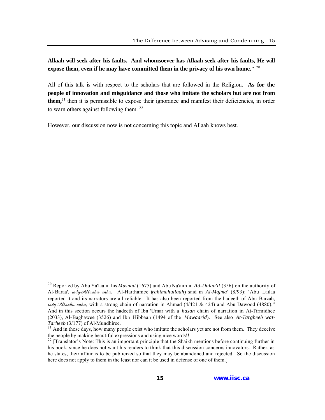**Allaah will seek after his faults. And whomsoever has Allaah seek after his faults, He will expose them, even if he may have committed them in the privacy of his own home."** <sup>20</sup>

All of this talk is with respect to the scholars that are followed in the Religion. **As for the people of innovation and misguidance and those who imitate the scholars but are not from them**,<sup>21</sup> then it is permissible to expose their ignorance and manifest their deficiencies, in order to warn others against following them.  $22$ 

However, our discussion now is not concerning this topic and Allaah knows best.

<sup>20</sup> Reported by Abu Ya'laa in his *Musnad* (1675) and Abu Nu'aim in *Ad-Dalaa'il* (356) on the authority of Al-Baraa', radyAllaahu 'anhu. Al-Haithamee (*rahimahullaah*) said in *Al-Majma'* (8/93): "Abu Lailaa reported it and its narrators are all reliable. It has also been reported from the hadeeth of Abu Barzah, rady Allaahu 'anhu, with a strong chain of narration in Ahmad (4/421 & 424) and Abu Dawood (4880)." And in this section occurs the hadeeth of Ibn 'Umar with a *hasan* chain of narration in At-Tirmidhee (2033), Al-Baghawee (3526) and Ibn Hibbaan (1494 of the *Mawaarid*). See also *At-Targheeb wat-Tarheeb* (3/177) of Al-Mundhiree.

 $2<sup>1</sup>$  And in these days, how many people exist who imitate the scholars yet are not from them. They deceive the people by making beautiful expressions and using nice words!!

 $^{22}$  [Translator's Note: This is an important principle that the Shaikh mentions before continuing further in his book, since he does not want his readers to think that this discussion concerns innovators. Rather, as he states, their affair is to be publicized so that they may be abandoned and rejected. So the discussion here does not apply to them in the least nor can it be used in defense of one of them.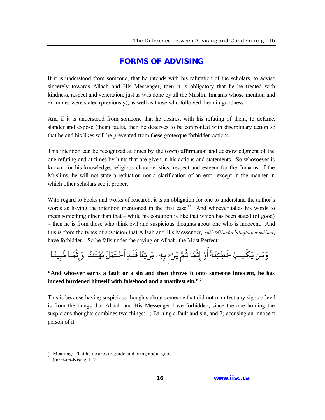#### **[FORMS OF ADVISING](#page-2-0)**

<span id="page-14-0"></span>If it is understood from someone, that he intends with his refutation of the scholars, to advise sincerely towards Allaah and His Messenger, then it is obligatory that he be treated with kindness, respect and veneration, just as was done by all the Muslim Imaams whose mention and examples were stated (previously), as well as those who followed them in goodness.

And if it is understood from someone that he desires, with his refuting of them, to defame, slander and expose (their) faults, then he deserves to be confronted with disciplinary action so that he and his likes will be prevented from these grotesque forbidden actions.

This intention can be recognized at times by the (own) affirmation and acknowledgment of the one refuting and at times by hints that are given in his actions and statements. So whosoever is known for his knowledge, religious characteristics, respect and esteem for the Imaams of the Muslims, he will not state a refutation nor a clarification of an error except in the manner in which other scholars see it proper.

With regard to books and works of research, it is an obligation for one to understand the author's words as having the intention mentioned in the first case.<sup>23</sup> And whoever takes his words to mean something other than that – while his condition is like that which has been stated (of good) – then he is from those who think evil and suspicious thoughts about one who is innocent. And this is from the types of suspicion that Allaah and His Messenger, sall Allaahu 'alayhi wa sallam, have forbidden. So he falls under the saying of Allaah, the Most Perfect:

وَمَن يَكُسِبُ خَطِيٓئَةً أَوْ إِثْمًا ثُمَّ يَرُم بِهِۦ بَرِيٓئَا فَقَدِ ٱحۡتَمَلَ بُهُتَـٰئَا ۚ وَإِثۡمًا مُّبِيئَا

**"And whoever earns a fault or a sin and then throws it onto someone innocent, he has indeed burdened himself with falsehood and a manifest sin."** <sup>24</sup>

This is because having suspicious thoughts about someone that did not manifest any signs of evil is from the things that Allaah and His Messenger have forbidden, since the one holding the suspicious thoughts combines two things: 1) Earning a fault and sin, and 2) accusing an innocent person of it.

 $^{23}$  Meaning: That he desires to guide and bring about good

<sup>24</sup> Surat-un-Nisaa: 112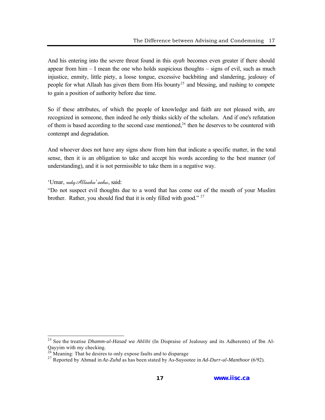And his entering into the severe threat found in this *ayah* becomes even greater if there should appear from  $\lim - I$  mean the one who holds suspicious thoughts – signs of evil, such as much injustice, enmity, little piety, a loose tongue, excessive backbiting and slandering, jealousy of people for what Allaah has given them from His bounty<sup>25</sup> and blessing, and rushing to compete to gain a position of authority before due time.

So if these attributes, of which the people of knowledge and faith are not pleased with, are recognized in someone, then indeed he only thinks sickly of the scholars. And if one's refutation of them is based according to the second case mentioned,<sup>26</sup> then he deserves to be countered with contempt and degradation.

And whoever does not have any signs show from him that indicate a specific matter, in the total sense, then it is an obligation to take and accept his words according to the best manner (of understanding), and it is not permissible to take them in a negative way.

'Umar, radyAllaahu ' anhu, said:

 $\overline{a}$ 

"Do not suspect evil thoughts due to a word that has come out of the mouth of your Muslim brother. Rather, you should find that it is only filled with good."<sup>27</sup>

<sup>25</sup> See the treatise *Dhamm-ul-Hasad wa Ahlihi* (In Dispraise of Jealousy and its Adherents) of Ibn Al-Qayyim with my checking.

 $26$  Meaning: That he desires to only expose faults and to disparage

<sup>27</sup> Reported by Ahmad in *Az-Zuhd* as has been stated by As-Suyootee in *Ad-Durr-ul-Manthoor* (6/92).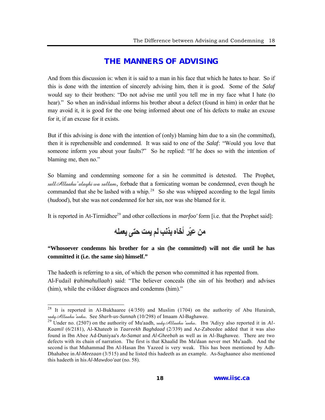#### **[THE MANNERS OF ADVISING](#page-2-0)**

<span id="page-16-0"></span>And from this discussion is: when it is said to a man in his face that which he hates to hear. So if this is done with the intention of sincerely advising him, then it is good. Some of the *Salaf* would say to their brothers: "Do not advise me until you tell me in my face what I hate (to hear)." So when an individual informs his brother about a defect (found in him) in order that he may avoid it, it is good for the one being informed about one of his defects to make an excuse for it, if an excuse for it exists.

But if this advising is done with the intention of (only) blaming him due to a sin (he committed), then it is reprehensible and condemned. It was said to one of the *Salaf*: "Would you love that someone inform you about your faults?" So he replied: "If he does so with the intention of blaming me, then no."

So blaming and condemning someone for a sin he committed is detested. The Prophet, sall Allaahu 'alayhi wa sallam, forbade that a fornicating woman be condemned, even though he commanded that she be lashed with a whip.<sup>28</sup> So she was whipped according to the legal limits (*hudood*), but she was not condemned for her sin, nor was she blamed for it.

It is reported in At-Tirmidhee<sup>29</sup> and other collections in *marfoo'* form [i.e. that the Prophet said]:

من عيّر أخاه بذنب لم يمت حتى يعمله

#### **"Whosoever condemns his brother for a sin (he committed) will not die until he has committed it (i.e. the same sin) himself."**

The hadeeth is referring to a sin, of which the person who committed it has repented from. Al-Fudail (*rahimahullaah*) said: "The believer conceals (the sin of his brother) and advises (him), while the evildoer disgraces and condemns (him)."

<sup>&</sup>lt;sup>28</sup> It is reported in Al-Bukhaaree (4/350) and Muslim (1704) on the authority of Abu Hurairah, radyAllaahu 'anhu. See *Sharh-us-Sunnah* (10/298) of Imaam Al-Baghawee.

<sup>&</sup>lt;sup>29</sup> Under no. (2507) on the authority of Mu'aadh, *vady Allaahu 'anhu*. Ibn 'Adiyy also reported it in *Al*-*Kaamil* (6/2181), Al-Khateeb in *Taareekh Baghdaad* (2/339) and Az-Zabeedee added that it was also found in Ibn Abee Ad-Duniyaa's *As-Samat* and *Al-Gheebah* as well as in Al-Baghawee. There are two defects with its chain of narration. The first is that Khaalid Ibn Ma'daan never met Mu'aadh. And the second is that Muhammad Ibn Al-Hasan Ibn Yazeed is very weak. This has been mentioned by Adh-Dhahabee in *Al-Meezaan* (3/515) and he listed this hadeeth as an example. As-Saghaanee also mentioned this hadeeth in his *Al-Mawdoo'aat* (no. 58).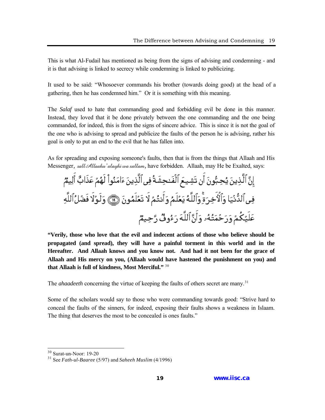This is what Al-Fudail has mentioned as being from the signs of advising and condemning - and it is that advising is linked to secrecy while condemning is linked to publicizing.

It used to be said: "Whosoever commands his brother (towards doing good) at the head of a gathering, then he has condemned him." Or it is something with this meaning.

The *Salaf* used to hate that commanding good and forbidding evil be done in this manner. Instead, they loved that it be done privately between the one commanding and the one being commanded, for indeed, this is from the signs of sincere advice. This is since it is not the goal of the one who is advising to spread and publicize the faults of the person he is advising, rather his goal is only to put an end to the evil that he has fallen into.

As for spreading and exposing someone's faults, then that is from the things that Allaah and His Messenger, sall Allaahu 'alayhi wa sallam, have forbidden. Allaah, may He be Exalted, says:

**"Verily, those who love that the evil and indecent actions of those who believe should be propagated (and spread), they will have a painful torment in this world and in the Hereafter. And Allaah knows and you know not. And had it not been for the grace of Allaah and His mercy on you, (Allaah would have hastened the punishment on you) and that Allaah is full of kindness, Most Merciful."** <sup>30</sup>

The *ahaadeeth* concerning the virtue of keeping the faults of others secret are many.<sup>31</sup>

Some of the scholars would say to those who were commanding towards good: "Strive hard to conceal the faults of the sinners, for indeed, exposing their faults shows a weakness in Islaam. The thing that deserves the most to be concealed is ones faults."

<sup>30</sup> Surat-un-Noor: 19-20

<sup>31</sup> See *Fath-ul-Baaree* (5/97) and *Saheeh Muslim* (4/1996)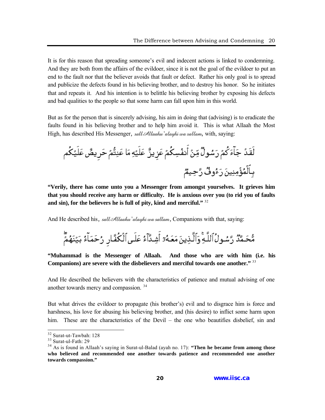It is for this reason that spreading someone's evil and indecent actions is linked to condemning. And they are both from the affairs of the evildoer, since it is not the goal of the evildoer to put an end to the fault nor that the believer avoids that fault or defect. Rather his only goal is to spread and publicize the defects found in his believing brother, and to destroy his honor. So he initiates that and repeats it. And his intention is to belittle his believing brother by exposing his defects and bad qualities to the people so that some harm can fall upon him in this world.

But as for the person that is sincerely advising, his aim in doing that (advising) is to eradicate the faults found in his believing brother and to help him avoid it. This is what Allaah the Most High, has described His Messenger, sall Allaahu'alayhi wa sallam, with, saying:

**"Verily, there has come unto you a Messenger from amongst yourselves. It grieves him that you should receive any harm or difficulty. He is anxious over you (to rid you of faults and sin), for the believers he is full of pity, kind and merciful."** <sup>32</sup>

And He described his, sall Allaahu 'alayhi wa sallam, Companions with that, saying:

**"Muhammad is the Messenger of Allaah. And those who are with him (i.e. his Companions) are severe with the disbelievers and merciful towards one another."** <sup>33</sup>

And He described the believers with the characteristics of patience and mutual advising of one another towards mercy and compassion. <sup>34</sup>

But what drives the evildoer to propagate (his brother's) evil and to disgrace him is force and harshness, his love for abusing his believing brother, and (his desire) to inflict some harm upon him. These are the characteristics of the Devil – the one who beautifies disbelief, sin and

<sup>32</sup> Surat-ut-Tawbah: 128

<sup>33</sup> Surat-ul-Fath: 29

<sup>34</sup> As is found in Allaah's saying in Surat-ul-Balad (ayah no. 17): **"Then he became from among those who believed and recommended one another towards patience and recommended one another towards compassion."**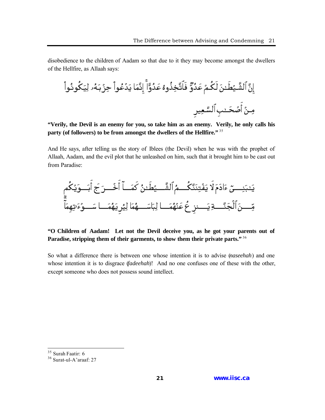disobedience to the children of Aadam so that due to it they may become amongst the dwellers of the Hellfire, as Allaah says:

**"Verily, the Devil is an enemy for you, so take him as an enemy. Verily, he only calls his party (of followers) to be from amongst the dwellers of the Hellfire."** <sup>35</sup>

And He says, after telling us the story of Iblees (the Devil) when he was with the prophet of Allaah, Aadam, and the evil plot that he unleashed on him, such that it brought him to be cast out from Paradise:

يَٽبَنِيٍَءَادَمَ لاَ يَفُتِنَنَّكُمُ الَشَّــ يُطَّنُ كَمَــاَ أَخُــرَ جَ أَبَــوَيُكُمِ
$$
H = \frac{1}{2} \left[ \frac{1}{2} \left( \frac{3}{2} + \frac{1}{2} \right) + \frac{1}{2} \left( \frac{1}{2} \right) \right]
$$
هَ

#### **"O Children of Aadam! Let not the Devil deceive you, as he got your parents out of Paradise, stripping them of their garments, to show them their private parts."** <sup>36</sup>

So what a difference there is between one whose intention it is to advise (*naseehah*) and one whose intention it is to disgrace (*fadeehah*)! And no one confuses one of these with the other, except someone who does not possess sound intellect.

 $35$  Surah Faatir: 6

<sup>36</sup> Surat-ul-A'araaf: 27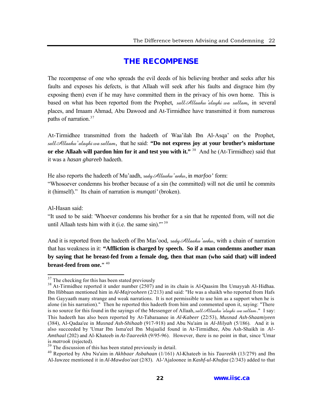#### **[THE RECOMPENSE](#page-2-0)**

<span id="page-20-0"></span>The recompense of one who spreads the evil deeds of his believing brother and seeks after his faults and exposes his defects, is that Allaah will seek after his faults and disgrace him (by exposing them) even if he may have committed them in the privacy of his own home. This is based on what has been reported from the Prophet, sall Allaahu alayhi wa sallam, in several places, and Imaam Ahmad, Abu Dawood and At-Tirmidhee have transmitted it from numerous paths of narration.<sup>37</sup>

At-Tirmidhee transmitted from the hadeeth of Waa'ilah Ibn Al-Asqa' on the Prophet, sallAllaahu 'alayhi wa sallam, that he said: **"Do not express joy at your brother's misfortune or else Allaah will pardon him for it and test you with it."** <sup>38</sup> And he (At-Tirmidhee) said that it was a *hasan ghareeb* hadeeth.

He also reports the hadeeth of Mu'aadh, radyAllaahu 'anhu, in *marfoo'* form: "Whosoever condemns his brother because of a sin (he committed) will not die until he commits it (himself)." Its chain of narration is *munqati'* (broken).

Al-Hasan said:

 $\overline{a}$ 

"It used to be said: 'Whoever condemns his brother for a sin that he repented from, will not die until Allaah tests him with it (i.e. the same sin). $1^{139}$ 

And it is reported from the hadeeth of Ibn Mas'ood, rady Allaahu anhu, with a chain of narration that has weakness in it: **"Affliction is charged by speech. So if a man condemns another man by saying that he breast-fed from a female dog, then that man (who said that) will indeed breast-feed from one."** <sup>40</sup>

 $37$  The checking for this has been stated previously

<sup>&</sup>lt;sup>38</sup> At-Tirmidhee reported it under number (2507) and in its chain is Al-Qaasim Ibn Umayyah Al-Hidhaa. Ibn Hibbaan mentioned him in *Al-Majrooheen* (2/213) and said: "He was a shaikh who reported from Hafs Ibn Gayyaath many strange and weak narrations. It is not permissible to use him as a support when he is alone (in his narration)." Then he reported this hadeeth from him and commented upon it, saying: "There is no source for this found in the sayings of the Messenger of Allaah, sall Allaahu 'alayhi wa sallam." I say: This hadeeth has also been reported by At-Tabaraanee in *Al-Kabeer* (22/53), *Musnad Ash-Shaamiyeen* (384), Al-Qadaa'ee in *Musnad Ash-Shihaab* (917-918) and Abu Nu'aim in *Al-Hilyah* (5/186). And it is also succeeded by 'Umar Ibn Isma'eel Ibn Mujaalid found in At-Tirmidhee, Abu Ash-Shaikh in *Al-Amthaal* (202) and Al-Khateeb in *At-Taareekh* (9/95-96). However, there is no point in that, since 'Umar is *matrook* (rejected).

<sup>&</sup>lt;sup>39</sup> The discussion of this has been stated previously in detail.

<sup>40</sup> Reported by Abu Nu'aim in *Akhbaar Asbahaan* (1/161) Al-Khateeb in his *Taareekh* (13/279) and Ibn Al-Jawzee mentioned it in *Al-Mawdoo'aat* (2/83). Al-'Ajaloonee in *Kashf-ul-Khufaa* (2/343) added to that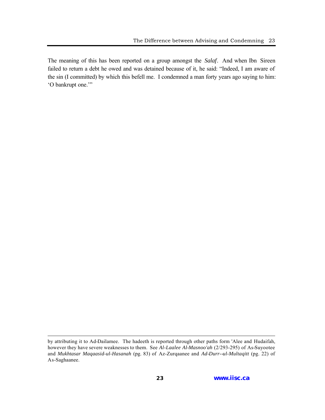The meaning of this has been reported on a group amongst the *Salaf*. And when Ibn Sireen failed to return a debt he owed and was detained because of it, he said: "Indeed, I am aware of the sin (I committed) by which this befell me. I condemned a man forty years ago saying to him: 'O bankrupt one.'"

by attributing it to Ad-Dailamee. The hadeeth is reported through other paths form 'Alee and Hudaifah, however they have severe weaknesses to them. See *Al-Laalee Al-Masnoo'ah* (2/293-295) of As-Suyootee and *Mukhtasar Maqaasid-ul-Hasanah* (pg. 83) of Az-Zurqaanee and *Ad-Durr--ul-Multaqitt* (pg. 22) of As-Saghaanee.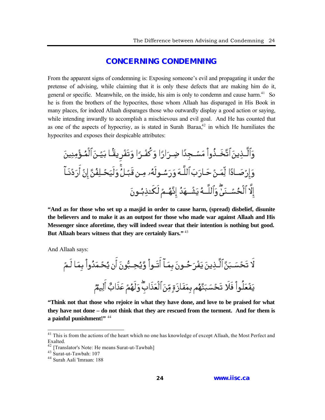#### **[CONCERNING CONDEMNING](#page-2-0)**

<span id="page-22-0"></span>From the apparent signs of condemning is: Exposing someone's evil and propagating it under the pretense of advising, while claiming that it is only these defects that are making him do it, general or specific. Meanwhile, on the inside, his aim is only to condemn and cause harm.<sup>41</sup> So he is from the brothers of the hypocrites, those whom Allaah has disparaged in His Book in many places, for indeed Allaah disparages those who outwardly display a good action or saying, while intending inwardly to accomplish a mischievous and evil goal. And He has counted that as one of the aspects of hypocrisy, as is stated in Surah Baraa $^{42}$  in which He humiliates the hypocrites and exposes their despicable attributes:

**"And as for those who set up a masjid in order to cause harm, (spread) disbelief, disunite the believers and to make it as an outpost for those who made war against Allaah and His Messenger since aforetime, they will indeed swear that their intention is nothing but good. But Allaah bears witness that they are certainly liars."** <sup>43</sup>

And Allaah says:

**"Think not that those who rejoice in what they have done, and love to be praised for what they have not done – do not think that they are rescued from the torment. And for them is a painful punishment!"** <sup>44</sup>

<sup>&</sup>lt;sup>41</sup> This is from the actions of the heart which no one has knowledge of except Allaah, the Most Perfect and Exalted.

<sup>&</sup>lt;sup>42</sup> [Translator's Note: He means Surat-ut-Tawbah]

 $^{43}$  Surat-ut-Tawbah: 107

<sup>44</sup> Surah Aali 'Imraan: 188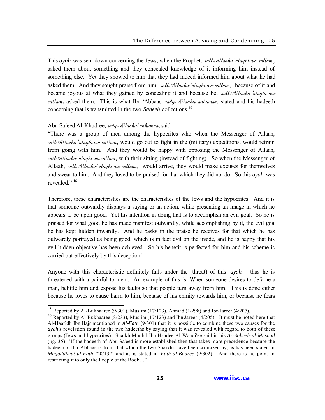This *ayah* was sent down concerning the Jews, when the Prophet, sallAllaahu 'alayhi wa sallam, asked them about something and they concealed knowledge of it informing him instead of something else. Yet they showed to him that they had indeed informed him about what he had asked them. And they sought praise from him, sall Allaahu 'alayhi wa sallam, because of it and became joyous at what they gained by concealing it and because he, sall Allaahu alayhi wa sallam, asked them. This is what Ibn 'Abbaas,  $\alpha d\psi \mathcal{A}$ llaahu 'anhumaa, stated and his hadeeth concerning that is transmitted in the two *Saheeh* collections.<sup>45</sup>

#### Abu Sa'eed Al-Khudree, radyAllaahu 'anhumaa, said:

 $\overline{a}$ 

"There was a group of men among the hypocrites who when the Messenger of Allaah, sall Allaahu 'alayhi wa sallam, would go out to fight in the (military) expeditions, would refrain from going with him. And they would be happy with opposing the Messenger of Allaah, sall Allaahu 'alayhi wa sallam, with their sitting (instead of fighting). So when the Messenger of Allaah, sall Allaahu'alayhi wa sallam, would arrive, they would make excuses for themselves and swear to him. And they loved to be praised for that which they did not do. So this *ayah* was revealed." <sup>46</sup>

Therefore, these characteristics are the characteristics of the Jews and the hypocrites. And it is that someone outwardly displays a saying or an action, while presenting an image in which he appears to be upon good. Yet his intention in doing that is to accomplish an evil goal. So he is praised for what good he has made manifest outwardly, while accomplishing by it, the evil goal he has kept hidden inwardly. And he basks in the praise he receives for that which he has outwardly portrayed as being good, which is in fact evil on the inside, and he is happy that his evil hidden objective has been achieved. So his benefit is perfected for him and his scheme is carried out effectively by this deception!!

Anyone with this characteristic definitely falls under the (threat) of this *ayah* - thus he is threatened with a painful torment. An example of this is: When someone desires to defame a man, belittle him and expose his faults so that people turn away from him. This is done either because he loves to cause harm to him, because of his enmity towards him, or because he fears

<sup>&</sup>lt;sup>45</sup> Reported by Al-Bukhaaree (9/301), Muslim (17/123), Ahmad (1/298) and Ibn Jareer (4/207).

<sup>&</sup>lt;sup>46</sup> Reported by Al-Bukhaaree (8/233), Muslim (17/123) and Ibn Jareer (4/205). It must be noted here that Al-Haafidh Ibn Hajr mentioned in *Al-Fath* (9/301) that it is possible to combine these two causes for the *ayah's* revelation found in the two hadeeths by saying that it was revealed with regard to both of these groups (Jews and hypocrites). Shaikh Muqbil Ibn Haadee Al-Waadi'ee said in his *As-Saheeh-ul-Musnad* (pg. 35): "If the hadeeth of Abu Sa'eed is more established then that takes more precedence because the hadeeth of Ibn 'Abbaas is from that which the two Shaikhs have been criticized by, as has been stated in *Muqaddimat-ul-Fath* (20/132) and as is stated in *Fath-ul-Baaree* (9/302). And there is no point in restricting it to only the People of the Book…"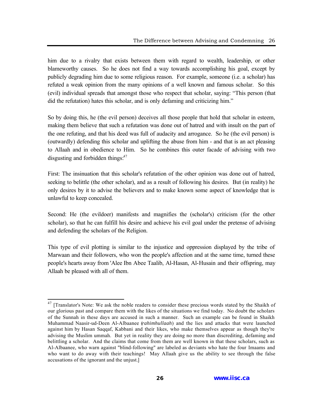him due to a rivalry that exists between them with regard to wealth, leadership, or other blameworthy causes. So he does not find a way towards accomplishing his goal, except by publicly degrading him due to some religious reason. For example, someone (i.e. a scholar) has refuted a weak opinion from the many opinions of a well known and famous scholar. So this (evil) individual spreads that amongst those who respect that scholar, saying: "This person (that did the refutation) hates this scholar, and is only defaming and criticizing him."

So by doing this, he (the evil person) deceives all those people that hold that scholar in esteem, making them believe that such a refutation was done out of hatred and with insult on the part of the one refuting, and that his deed was full of audacity and arrogance. So he (the evil person) is (outwardly) defending this scholar and uplifting the abuse from him - and that is an act pleasing to Allaah and in obedience to Him. So he combines this outer facade of advising with two disgusting and forbidden things.<sup>47</sup>

First: The insinuation that this scholar's refutation of the other opinion was done out of hatred, seeking to belittle (the other scholar), and as a result of following his desires. But (in reality) he only desires by it to advise the believers and to make known some aspect of knowledge that is unlawful to keep concealed.

Second: He (the evildoer) manifests and magnifies the (scholar's) criticism (for the other scholar), so that he can fulfill his desire and achieve his evil goal under the pretense of advising and defending the scholars of the Religion.

This type of evil plotting is similar to the injustice and oppression displayed by the tribe of Marwaan and their followers, who won the people's affection and at the same time, turned these people's hearts away from 'Alee Ibn Abee Taalib, Al-Hasan, Al-Husain and their offspring, may Allaah be pleased with all of them.

<sup>&</sup>lt;sup>47</sup> [Translator's Note: We ask the noble readers to consider these precious words stated by the Shaikh of our glorious past and compare them with the likes of the situations we find today. No doubt the scholars of the Sunnah in these days are accused in such a manner. Such an example can be found in Shaikh Muhammad Naasir-ud-Deen Al-Albaanee (*rahimhullaah*) and the lies and attacks that were launched against him by Hasan Saqqaf, Kabbani and their likes, who make themselves appear as though they're advising the Muslim ummah. But yet in reality they are doing no more than discrediting, defaming and belittling a scholar. And the claims that come from them are well known in that these scholars, such as Al-Albaanee, who warn against "blind-following" are labeled as deviants who hate the four Imaams and who want to do away with their teachings! May Allaah give us the ability to see through the false accusations of the ignorant and the unjust.]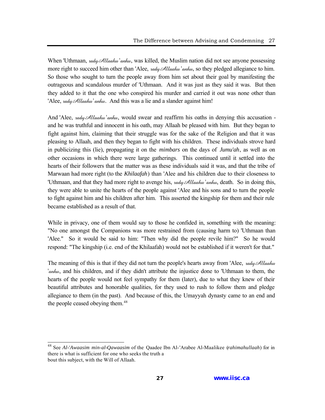When 'Uthmaan,  $\alpha d\psi$  Allaahu 'anhu, was killed, the Muslim nation did not see anyone possessing more right to succeed him other than 'Alee,  $\alpha d\mu \mathcal{A} \mathcal{U} a a h \mu$ , so they pledged allegiance to him. So those who sought to turn the people away from him set about their goal by manifesting the outrageous and scandalous murder of 'Uthmaan. And it was just as they said it was. But then they added to it that the one who conspired his murder and carried it out was none other than 'Alee, *rady* Allaahu' anhu. And this was a lie and a slander against him!

And 'Alee,  $\alpha d\psi$  Allaahu 'anhu, would swear and reaffirm his oaths in denying this accusation and he was truthful and innocent in his oath, may Allaah be pleased with him. But they began to fight against him, claiming that their struggle was for the sake of the Religion and that it was pleasing to Allaah, and then they began to fight with his children. These individuals strove hard in publicizing this (lie), propagating it on the *mimbars* on the days of *Jumu'ah*, as well as on other occasions in which there were large gatherings. This continued until it settled into the hearts of their followers that the matter was as these individuals said it was, and that the tribe of Marwaan had more right (to the *Khilaafah*) than 'Alee and his children due to their closeness to 'Uthmaan, and that they had more right to avenge his, radyAllaahu 'anhu, death. So in doing this, they were able to unite the hearts of the people against 'Alee and his sons and to turn the people to fight against him and his children after him. This asserted the kingship for them and their rule became established as a result of that.

While in privacy, one of them would say to those he confided in, something with the meaning: "No one amongst the Companions was more restrained from (causing harm to) 'Uthmaan than 'Alee." So it would be said to him: "Then why did the people revile him?" So he would respond: "The kingship (i.e. end of the Khilaafah) would not be established if it weren't for that."

The meaning of this is that if they did not turn the people's hearts away from 'Alee,  $\alpha d\psi\mathcal{A}ll$ 'anhu, and his children, and if they didn't attribute the injustice done to 'Uthmaan to them, the hearts of the people would not feel sympathy for them (later), due to what they knew of their beautiful attributes and honorable qualities, for they used to rush to follow them and pledge allegiance to them (in the past). And because of this, the Umayyah dynasty came to an end and the people ceased obeying them.<sup>48</sup>

<sup>48</sup> See *Al-'Awaasim min-al-Qawaasim* of the Qaadee Ibn Al-'Arabee Al-Maalikee (*rahimahullaah*) for in there is what is sufficient for one who seeks the truth a bout this subject, with the Will of Allaah.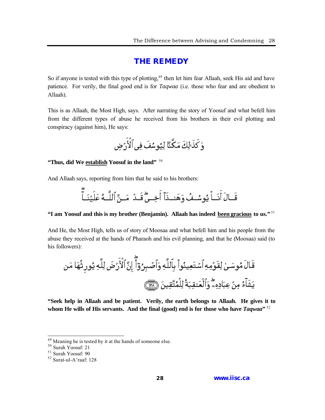#### **[THE REMEDY](#page-2-0)**

<span id="page-26-0"></span>So if anyone is tested with this type of plotting,<sup>49</sup> then let him fear Allaah, seek His aid and have patience. For verily, the final good end is for *Taqwaa* (i.e. those who fear and are obedient to Allaah).

This is as Allaah, the Most High, says. After narrating the story of Yoosuf and what befell him from the different types of abuse he received from his brothers in their evil plotting and conspiracy (against him), He says:

#### **"Thus, did We establish Yoosuf in the land"** <sup>50</sup>

And Allaah says, reporting from him that he said to his brothers:

#### **"I am Yoosuf and this is my brother (Benjamin). Allaah has indeed been gracious to us."** <sup>51</sup>

And He, the Most High, tells us of story of Moosaa and what befell him and his people from the abuse they received at the hands of Pharaoh and his evil planning, and that he (Moosaa) said (to his followers):

**"Seek help in Allaah and be patient. Verily, the earth belongs to Allaah. He gives it to whom He wills of His servants. And the final (good) end is for those who have** *Taqwaa***"** 52

<sup>&</sup>lt;sup>49</sup> Meaning he is tested by it at the hands of someone else.

<sup>50</sup> Surah Yoosuf: 21

<sup>51</sup> Surah Yoosuf: 90

<sup>52</sup> Surat-ul-A'raaf: 128